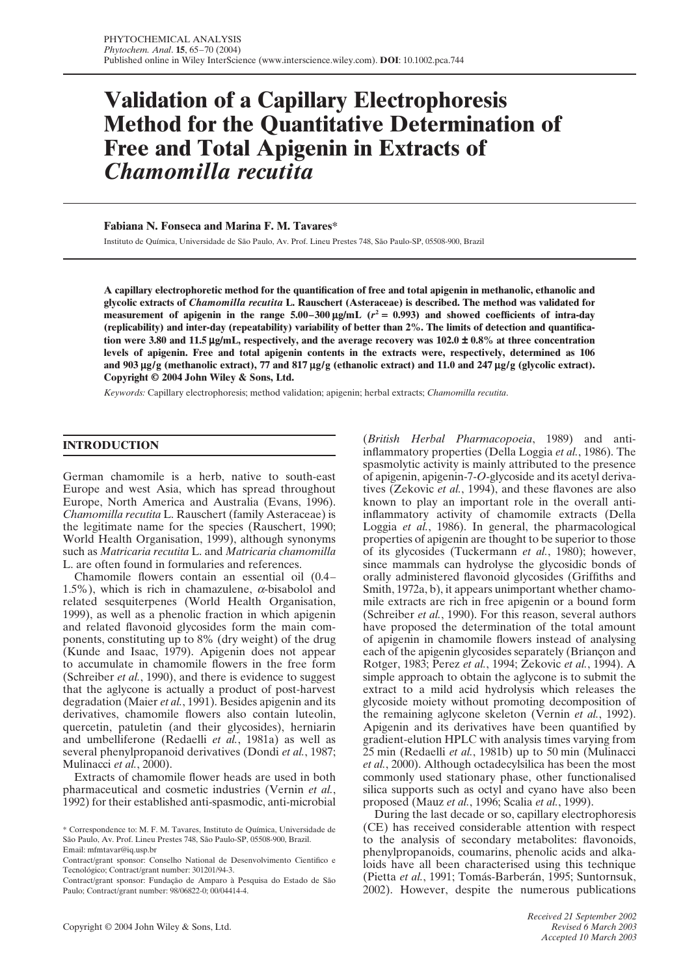# **Validation of a Capillary Electrophoresis Method for the Quantitative Determination of Free and Total Apigenin in Extracts of** *Chamomilla recutita*

## **Fabiana N. Fonseca and Marina F. M. Tavares\***

Instituto de Química, Universidade de São Paulo, Av. Prof. Lineu Prestes 748, São Paulo-SP, 05508-900, Brazil

**A capillary electrophoretic method for the quantification of free and total apigenin in methanolic, ethanolic and glycolic extracts of** *Chamomilla recutita* **L. Rauschert (Asteraceae) is described. The method was validated for measurement of apigenin in the range 5.00–300**  $\mu$ **g/mL (** $r^2 = 0.993$ **) and showed coefficients of intra-day (replicability) and inter-day (repeatability) variability of better than 2%. The limits of detection and quantification were 3.80 and 11.5** µ**g/mL, respectively, and the average recovery was 102.0** ± **0.8% at three concentration levels of apigenin. Free and total apigenin contents in the extracts were, respectively, determined as 106 and 903** µ**g/g (methanolic extract), 77 and 817** µ**g/g (ethanolic extract) and 11.0 and 247** µ**g/g (glycolic extract). Copyright © 2004 John Wiley & Sons, Ltd.**

*Keywords:* Capillary electrophoresis; method validation; apigenin; herbal extracts; *Chamomilla recutita*.

# **INTRODUCTION**

German chamomile is a herb, native to south-east Europe and west Asia, which has spread throughout Europe, North America and Australia (Evans, 1996). *Chamomilla recutita* L. Rauschert (family Asteraceae) is the legitimate name for the species (Rauschert, 1990; World Health Organisation, 1999), although synonyms such as *Matricaria recutita* L. and *Matricaria chamomilla* L. are often found in formularies and references.

Chamomile flowers contain an essential oil (0.4– 1.5%), which is rich in chamazulene,  $\alpha$ -bisabolol and related sesquiterpenes (World Health Organisation, 1999), as well as a phenolic fraction in which apigenin and related flavonoid glycosides form the main components, constituting up to 8% (dry weight) of the drug (Kunde and Isaac, 1979). Apigenin does not appear to accumulate in chamomile flowers in the free form (Schreiber *et al.*, 1990), and there is evidence to suggest that the aglycone is actually a product of post-harvest degradation (Maier *et al.*, 1991). Besides apigenin and its derivatives, chamomile flowers also contain luteolin, quercetin, patuletin (and their glycosides), herniarin and umbelliferone (Redaelli *et al.*, 1981a) as well as several phenylpropanoid derivatives (Dondi *et al.*, 1987; Mulinacci *et al.*, 2000).

Extracts of chamomile flower heads are used in both pharmaceutical and cosmetic industries (Vernin *et al.*, 1992) for their established anti-spasmodic, anti-microbial (*British Herbal Pharmacopoeia*, 1989) and antiinflammatory properties (Della Loggia *et al.*, 1986). The spasmolytic activity is mainly attributed to the presence of apigenin, apigenin-7-*O*-glycoside and its acetyl derivatives (Zekovic *et al.*, 1994), and these flavones are also known to play an important role in the overall antiinflammatory activity of chamomile extracts (Della Loggia *et al.*, 1986). In general, the pharmacological properties of apigenin are thought to be superior to those of its glycosides (Tuckermann *et al.*, 1980); however, since mammals can hydrolyse the glycosidic bonds of orally administered flavonoid glycosides (Griffiths and Smith, 1972a, b), it appears unimportant whether chamomile extracts are rich in free apigenin or a bound form (Schreiber *et al.*, 1990). For this reason, several authors have proposed the determination of the total amount of apigenin in chamomile flowers instead of analysing each of the apigenin glycosides separately (Briançon and Rotger, 1983; Perez *et al.*, 1994; Zekovic *et al.*, 1994). A simple approach to obtain the aglycone is to submit the extract to a mild acid hydrolysis which releases the glycoside moiety without promoting decomposition of the remaining aglycone skeleton (Vernin *et al.*, 1992). Apigenin and its derivatives have been quantified by gradient-elution HPLC with analysis times varying from 25 min (Redaelli *et al.*, 1981b) up to 50 min (Mulinacci *et al.*, 2000). Although octadecylsilica has been the most commonly used stationary phase, other functionalised silica supports such as octyl and cyano have also been proposed (Mauz *et al.*, 1996; Scalia *et al.*, 1999).

During the last decade or so, capillary electrophoresis (CE) has received considerable attention with respect to the analysis of secondary metabolites: flavonoids, phenylpropanoids, coumarins, phenolic acids and alkaloids have all been characterised using this technique (Pietta *et al.*, 1991; Tomás-Barberán, 1995; Suntornsuk, 2002). However, despite the numerous publications

<sup>\*</sup> Correspondence to: M. F. M. Tavares, Instituto de Química, Universidade de São Paulo, Av. Prof. Lineu Prestes 748, São Paulo-SP, 05508-900, Brazil. Email: mfmtavar@iq.usp.br

Contract/grant sponsor: Conselho National de Desenvolvimento Cientifico e Tecnológico; Contract/grant number: 301201/94-3.

Contract/grant sponsor: Fundação de Amparo à Pesquisa do Estado de São Paulo; Contract/grant number: 98/06822-0; 00/04414-4.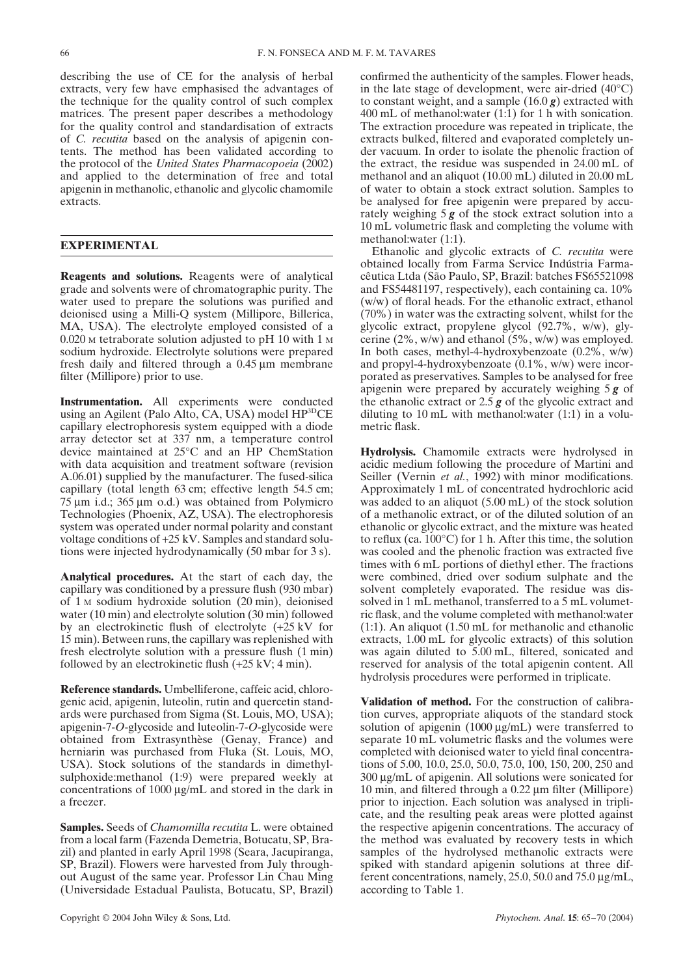describing the use of CE for the analysis of herbal extracts, very few have emphasised the advantages of the technique for the quality control of such complex matrices. The present paper describes a methodology for the quality control and standardisation of extracts of *C. recutita* based on the analysis of apigenin contents. The method has been validated according to the protocol of the *United States Pharmacopoeia* (2002) and applied to the determination of free and total apigenin in methanolic, ethanolic and glycolic chamomile extracts.

## **EXPERIMENTAL**

**Reagents and solutions.** Reagents were of analytical grade and solvents were of chromatographic purity. The water used to prepare the solutions was purified and deionised using a Milli-Q system (Millipore, Billerica, MA, USA). The electrolyte employed consisted of a 0.020 <sup>M</sup> tetraborate solution adjusted to pH 10 with 1 <sup>M</sup> sodium hydroxide. Electrolyte solutions were prepared fresh daily and filtered through a 0.45 µm membrane filter (Millipore) prior to use.

**Instrumentation.** All experiments were conducted using an Agilent (Palo Alto, CA, USA) model HP<sup>3D</sup>CE capillary electrophoresis system equipped with a diode array detector set at 337 nm, a temperature control device maintained at 25°C and an HP ChemStation with data acquisition and treatment software (revision A.06.01) supplied by the manufacturer. The fused-silica capillary (total length 63 cm; effective length 54.5 cm; 75 µm i.d.; 365 µm o.d.) was obtained from Polymicro Technologies (Phoenix, AZ, USA). The electrophoresis system was operated under normal polarity and constant voltage conditions of +25 kV. Samples and standard solutions were injected hydrodynamically (50 mbar for 3 s).

**Analytical procedures.** At the start of each day, the capillary was conditioned by a pressure flush (930 mbar) of 1 <sup>M</sup> sodium hydroxide solution (20 min), deionised water (10 min) and electrolyte solution (30 min) followed by an electrokinetic flush of electrolyte (+25 kV for 15 min). Between runs, the capillary was replenished with fresh electrolyte solution with a pressure flush (1 min) followed by an electrokinetic flush (+25 kV; 4 min).

**Reference standards.** Umbelliferone, caffeic acid, chlorogenic acid, apigenin, luteolin, rutin and quercetin standards were purchased from Sigma (St. Louis, MO, USA); apigenin-7-*O*-glycoside and luteolin-7-*O*-glycoside were obtained from Extrasynthèse (Genay, France) and herniarin was purchased from Fluka (St. Louis, MO, USA). Stock solutions of the standards in dimethylsulphoxide:methanol (1:9) were prepared weekly at concentrations of 1000 µg/mL and stored in the dark in a freezer.

**Samples.** Seeds of *Chamomilla recutita* L. were obtained from a local farm (Fazenda Demetria, Botucatu, SP, Brazil) and planted in early April 1998 (Seara, Jacupiranga, SP, Brazil). Flowers were harvested from July throughout August of the same year. Professor Lin Chau Ming (Universidade Estadual Paulista, Botucatu, SP, Brazil)

confirmed the authenticity of the samples. Flower heads, in the late stage of development, were air-dried (40°C) to constant weight, and a sample (16.0 *g*) extracted with 400 mL of methanol:water (1:1) for 1 h with sonication. The extraction procedure was repeated in triplicate, the extracts bulked, filtered and evaporated completely under vacuum. In order to isolate the phenolic fraction of the extract, the residue was suspended in 24.00 mL of methanol and an aliquot (10.00 mL) diluted in 20.00 mL of water to obtain a stock extract solution. Samples to be analysed for free apigenin were prepared by accurately weighing 5 *g* of the stock extract solution into a 10 mL volumetric flask and completing the volume with methanol:water (1:1).

Ethanolic and glycolic extracts of *C. recutita* were obtained locally from Farma Service Indústria Farmacêutica Ltda (São Paulo, SP, Brazil: batches FS65521098 and FS54481197, respectively), each containing ca. 10% (w/w) of floral heads. For the ethanolic extract, ethanol (70%) in water was the extracting solvent, whilst for the glycolic extract, propylene glycol (92.7%, w/w), glycerine (2%, w/w) and ethanol (5%, w/w) was employed. In both cases, methyl-4-hydroxybenzoate (0.2%, w/w) and propyl-4-hydroxybenzoate (0.1%, w/w) were incorporated as preservatives. Samples to be analysed for free apigenin were prepared by accurately weighing 5 *g* of the ethanolic extract or 2.5 *g* of the glycolic extract and diluting to 10 mL with methanol:water (1:1) in a volumetric flask.

**Hydrolysis.** Chamomile extracts were hydrolysed in acidic medium following the procedure of Martini and Seiller (Vernin *et al.*, 1992) with minor modifications. Approximately 1 mL of concentrated hydrochloric acid was added to an aliquot (5.00 mL) of the stock solution of a methanolic extract, or of the diluted solution of an ethanolic or glycolic extract, and the mixture was heated to reflux (ca. 100°C) for 1 h. After this time, the solution was cooled and the phenolic fraction was extracted five times with 6 mL portions of diethyl ether. The fractions were combined, dried over sodium sulphate and the solvent completely evaporated. The residue was dissolved in 1 mL methanol, transferred to a 5 mL volumetric flask, and the volume completed with methanol:water (1:1). An aliquot (1.50 mL for methanolic and ethanolic extracts, 1.00 mL for glycolic extracts) of this solution was again diluted to 5.00 mL, filtered, sonicated and reserved for analysis of the total apigenin content. All hydrolysis procedures were performed in triplicate.

**Validation of method.** For the construction of calibration curves, appropriate aliquots of the standard stock solution of apigenin  $(1000 \mu g/mL)$  were transferred to separate 10 mL volumetric flasks and the volumes were completed with deionised water to yield final concentrations of 5.00, 10.0, 25.0, 50.0, 75.0, 100, 150, 200, 250 and 300 µg/mL of apigenin. All solutions were sonicated for 10 min, and filtered through a 0.22 µm filter (Millipore) prior to injection. Each solution was analysed in triplicate, and the resulting peak areas were plotted against the respective apigenin concentrations. The accuracy of the method was evaluated by recovery tests in which samples of the hydrolysed methanolic extracts were spiked with standard apigenin solutions at three different concentrations, namely, 25.0, 50.0 and 75.0 µg/mL, according to Table 1.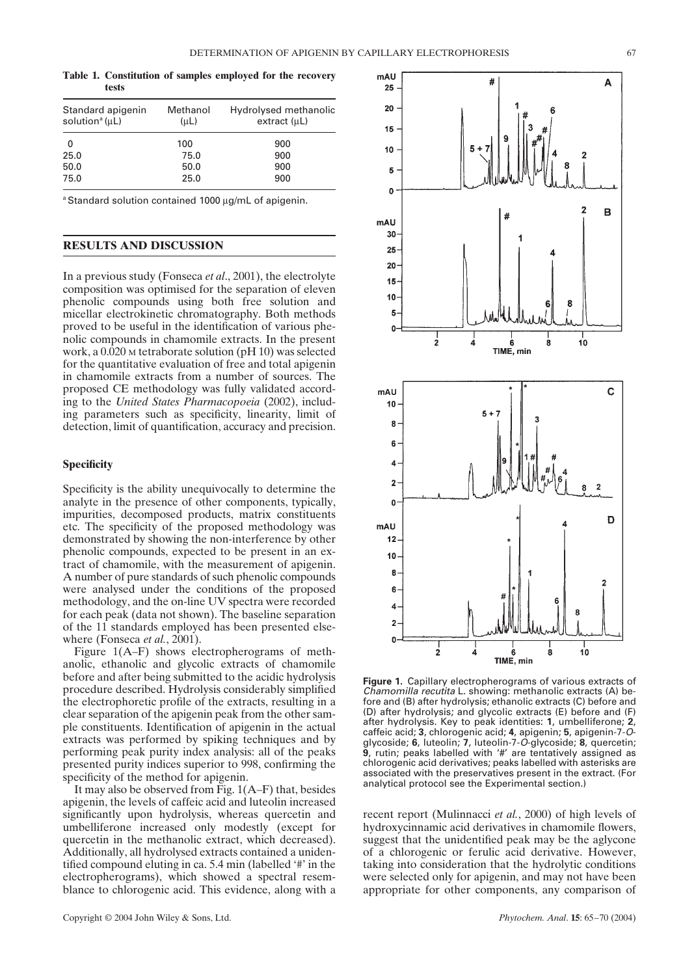**Table 1. Constitution of samples employed for the recovery tests**

| Standard apigenin<br>solution <sup>a</sup> $(\mu L)$ | Methanol<br>(uL) | Hydrolysed methanolic<br>extract (µL) |
|------------------------------------------------------|------------------|---------------------------------------|
| 0                                                    | 100              | 900                                   |
| 25.0                                                 | 75.0             | 900                                   |
| 50.0                                                 | 50.0             | 900                                   |
| 75.0                                                 | 25.0             | 900                                   |

a Standard solution contained 1000 µg/mL of apigenin.

# **RESULTS AND DISCUSSION**

In a previous study (Fonseca *et al*., 2001), the electrolyte composition was optimised for the separation of eleven phenolic compounds using both free solution and micellar electrokinetic chromatography. Both methods proved to be useful in the identification of various phenolic compounds in chamomile extracts. In the present work, a 0.020 <sup>M</sup> tetraborate solution (pH 10) was selected for the quantitative evaluation of free and total apigenin in chamomile extracts from a number of sources. The proposed CE methodology was fully validated according to the *United States Pharmacopoeia* (2002), including parameters such as specificity, linearity, limit of detection, limit of quantification, accuracy and precision.

### **Specificity**

Specificity is the ability unequivocally to determine the analyte in the presence of other components, typically, impurities, decomposed products, matrix constituents etc. The specificity of the proposed methodology was demonstrated by showing the non-interference by other phenolic compounds, expected to be present in an extract of chamomile, with the measurement of apigenin. A number of pure standards of such phenolic compounds were analysed under the conditions of the proposed methodology, and the on-line UV spectra were recorded for each peak (data not shown). The baseline separation of the 11 standards employed has been presented elsewhere (Fonseca *et al.*, 2001).

Figure 1(A–F) shows electropherograms of methanolic, ethanolic and glycolic extracts of chamomile before and after being submitted to the acidic hydrolysis procedure described. Hydrolysis considerably simplified the electrophoretic profile of the extracts, resulting in a clear separation of the apigenin peak from the other sample constituents. Identification of apigenin in the actual extracts was performed by spiking techniques and by performing peak purity index analysis: all of the peaks presented purity indices superior to 998, confirming the specificity of the method for apigenin.

It may also be observed from Fig. 1(A–F) that, besides apigenin, the levels of caffeic acid and luteolin increased significantly upon hydrolysis, whereas quercetin and umbelliferone increased only modestly (except for quercetin in the methanolic extract, which decreased). Additionally, all hydrolysed extracts contained a unidentified compound eluting in ca. 5.4 min (labelled '#' in the electropherograms), which showed a spectral resemblance to chlorogenic acid. This evidence, along with a



**Figure 1.** Capillary electropherograms of various extracts of Chamomilla recutita L. showing: methanolic extracts (A) before and (B) after hydrolysis; ethanolic extracts (C) before and (D) after hydrolysis; and glycolic extracts (E) before and (F) after hydrolysis. Key to peak identities: **1**, umbelliferone; **2**, caffeic acid; **3**, chlorogenic acid; **4**, apigenin; **5**, apigenin-7-Oglycoside; **6**, luteolin; **7**, luteolin-7-O-glycoside; **8**, quercetin; **9**, rutin; peaks labelled with '#' are tentatively assigned as chlorogenic acid derivatives; peaks labelled with asterisks are associated with the preservatives present in the extract. (For analytical protocol see the Experimental section.)

recent report (Mulinnacci *et al.*, 2000) of high levels of hydroxycinnamic acid derivatives in chamomile flowers, suggest that the unidentified peak may be the aglycone of a chlorogenic or ferulic acid derivative. However, taking into consideration that the hydrolytic conditions were selected only for apigenin, and may not have been appropriate for other components, any comparison of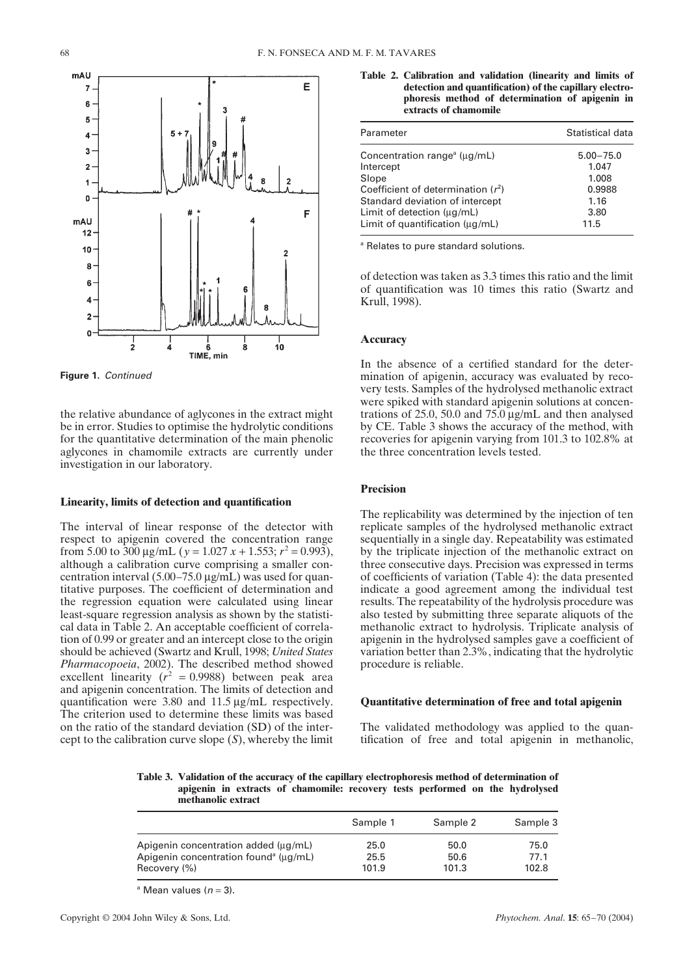

**Figure 1.** Continued

the relative abundance of aglycones in the extract might be in error. Studies to optimise the hydrolytic conditions for the quantitative determination of the main phenolic aglycones in chamomile extracts are currently under investigation in our laboratory.

#### **Linearity, limits of detection and quantification**

The interval of linear response of the detector with respect to apigenin covered the concentration range from 5.00 to 300  $\mu$ g/mL ( $y = 1.027 x + 1.553$ ;  $r^2 = 0.993$ ), although a calibration curve comprising a smaller concentration interval (5.00–75.0 µg/mL) was used for quantitative purposes. The coefficient of determination and the regression equation were calculated using linear least-square regression analysis as shown by the statistical data in Table 2. An acceptable coefficient of correlation of 0.99 or greater and an intercept close to the origin should be achieved (Swartz and Krull, 1998; *United States Pharmacopoeia*, 2002). The described method showed excellent linearity  $(r^2 = 0.9988)$  between peak area and apigenin concentration. The limits of detection and quantification were 3.80 and 11.5 µg/mL respectively. The criterion used to determine these limits was based on the ratio of the standard deviation (SD) of the intercept to the calibration curve slope (*S*), whereby the limit

**Table 2. Calibration and validation (linearity and limits of detection and quantification) of the capillary electrophoresis method of determination of apigenin in extracts of chamomile**

| Statistical data                                                  |
|-------------------------------------------------------------------|
| $5.00 - 75.0$<br>1.047<br>1.008<br>0.9988<br>1.16<br>3.80<br>11.5 |
|                                                                   |

<sup>a</sup> Relates to pure standard solutions.

of detection was taken as 3.3 times this ratio and the limit of quantification was 10 times this ratio (Swartz and Krull, 1998).

#### **Accuracy**

In the absence of a certified standard for the determination of apigenin, accuracy was evaluated by recovery tests. Samples of the hydrolysed methanolic extract were spiked with standard apigenin solutions at concentrations of 25.0, 50.0 and 75.0 µg/mL and then analysed by CE. Table 3 shows the accuracy of the method, with recoveries for apigenin varying from 101.3 to 102.8% at the three concentration levels tested.

# **Precision**

The replicability was determined by the injection of ten replicate samples of the hydrolysed methanolic extract sequentially in a single day. Repeatability was estimated by the triplicate injection of the methanolic extract on three consecutive days. Precision was expressed in terms of coefficients of variation (Table 4): the data presented indicate a good agreement among the individual test results. The repeatability of the hydrolysis procedure was also tested by submitting three separate aliquots of the methanolic extract to hydrolysis. Triplicate analysis of apigenin in the hydrolysed samples gave a coefficient of variation better than 2.3%, indicating that the hydrolytic procedure is reliable.

#### **Quantitative determination of free and total apigenin**

The validated methodology was applied to the quantification of free and total apigenin in methanolic,

**Table 3. Validation of the accuracy of the capillary electrophoresis method of determination of apigenin in extracts of chamomile: recovery tests performed on the hydrolysed methanolic extract**

|                                                   | Sample 1 | Sample 2 | Sample 3 |
|---------------------------------------------------|----------|----------|----------|
| Apigenin concentration added (µg/mL)              | 25.0     | 50.0     | 75.0     |
| Apigenin concentration found <sup>a</sup> (µg/mL) | 25.5     | 50.6     | 77.1     |
| Recovery (%)                                      | 101.9    | 101.3    | 102.8    |

<sup>a</sup> Mean values ( $n = 3$ ).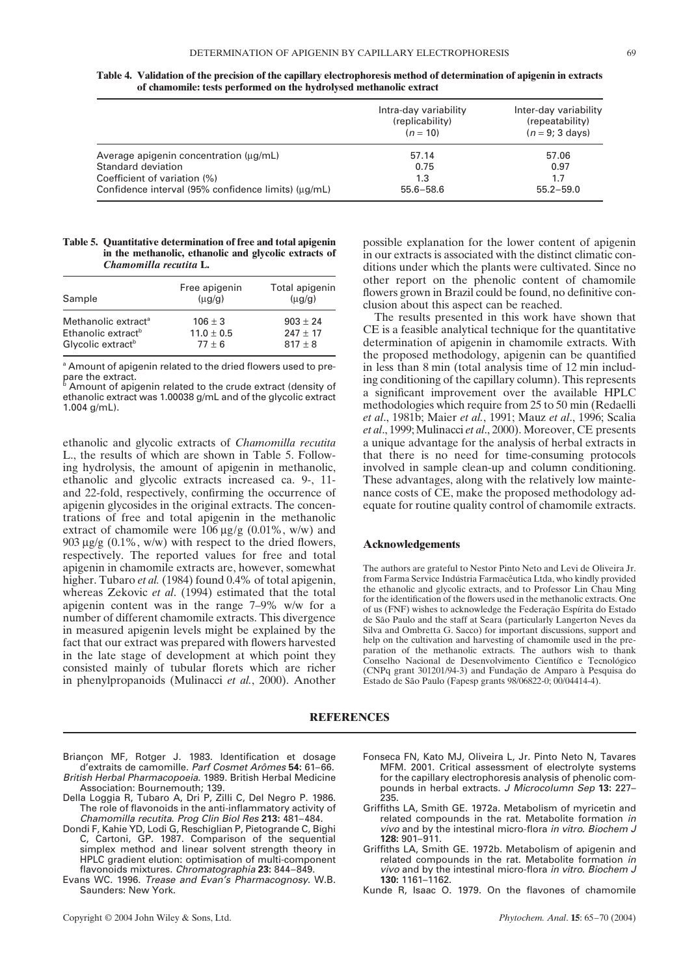| Table 4. Validation of the precision of the capillary electrophoresis method of determination of apigenin in extracts |  |
|-----------------------------------------------------------------------------------------------------------------------|--|
| of chamomile: tests performed on the hydrolysed methanolic extract                                                    |  |

|                                                     | Intra-day variability<br>(replicability)<br>$(n = 10)$ | Inter-day variability<br>(repeatability)<br>$(n = 9; 3 \text{ days})$ |
|-----------------------------------------------------|--------------------------------------------------------|-----------------------------------------------------------------------|
| Average apigenin concentration (µg/mL)              | 57.14                                                  | 57.06                                                                 |
| Standard deviation                                  | 0.75                                                   | 0.97                                                                  |
| Coefficient of variation (%)                        | 1.3                                                    | 1.7                                                                   |
| Confidence interval (95% confidence limits) (µg/mL) | $55.6 - 58.6$                                          | $55.2 - 59.0$                                                         |

#### **Table 5. Quantitative determination of free and total apigenin in the methanolic, ethanolic and glycolic extracts of** *Chamomilla recutita* **L.**

| Sample                                                                                             | Free apigenin<br>$\mu$ g/g)               | Total apigenin<br>$\mu$ g/g)              |
|----------------------------------------------------------------------------------------------------|-------------------------------------------|-------------------------------------------|
| Methanolic extract <sup>a</sup><br>Ethanolic extract <sup>b</sup><br>Glycolic extract <sup>b</sup> | $106 \pm 3$<br>$11.0 \pm 0.5$<br>$77 + 6$ | $903 \pm 24$<br>$247 + 17$<br>$817 \pm 8$ |
|                                                                                                    |                                           |                                           |

<sup>a</sup> Amount of apigenin related to the dried flowers used to prepare the extract.

 $^{\rm b}$  Amount of apigenin related to the crude extract (density of ethanolic extract was 1.00038 g/mL and of the glycolic extract 1.004 g/mL).

ethanolic and glycolic extracts of *Chamomilla recutita* L., the results of which are shown in Table 5. Following hydrolysis, the amount of apigenin in methanolic, ethanolic and glycolic extracts increased ca. 9-, 11 and 22-fold, respectively, confirming the occurrence of apigenin glycosides in the original extracts. The concentrations of free and total apigenin in the methanolic extract of chamomile were  $106 \mu g/g$  (0.01%, w/w) and 903  $\mu$ g/g (0.1%, w/w) with respect to the dried flowers, respectively. The reported values for free and total apigenin in chamomile extracts are, however, somewhat higher. Tubaro *et al.* (1984) found 0.4% of total apigenin, whereas Zekovic *et al*. (1994) estimated that the total apigenin content was in the range 7–9% w/w for a number of different chamomile extracts. This divergence in measured apigenin levels might be explained by the fact that our extract was prepared with flowers harvested in the late stage of development at which point they consisted mainly of tubular florets which are richer in phenylpropanoids (Mulinacci *et al.*, 2000). Another possible explanation for the lower content of apigenin in our extracts is associated with the distinct climatic conditions under which the plants were cultivated. Since no other report on the phenolic content of chamomile flowers grown in Brazil could be found, no definitive conclusion about this aspect can be reached.

The results presented in this work have shown that CE is a feasible analytical technique for the quantitative determination of apigenin in chamomile extracts. With the proposed methodology, apigenin can be quantified in less than 8 min (total analysis time of 12 min including conditioning of the capillary column). This represents a significant improvement over the available HPLC methodologies which require from 25 to 50 min (Redaelli *et al*., 1981b; Maier *et al.*, 1991; Mauz *et al*., 1996; Scalia *et al*., 1999; Mulinacci *et al*., 2000). Moreover, CE presents a unique advantage for the analysis of herbal extracts in that there is no need for time-consuming protocols involved in sample clean-up and column conditioning. These advantages, along with the relatively low maintenance costs of CE, make the proposed methodology adequate for routine quality control of chamomile extracts.

#### **Acknowledgements**

The authors are grateful to Nestor Pinto Neto and Levi de Oliveira Jr. from Farma Service Indústria Farmacêutica Ltda, who kindly provided the ethanolic and glycolic extracts, and to Professor Lin Chau Ming for the identification of the flowers used in the methanolic extracts. One of us (FNF) wishes to acknowledge the Federação Espírita do Estado de São Paulo and the staff at Seara (particularly Langerton Neves da Silva and Ombretta G. Sacco) for important discussions, support and help on the cultivation and harvesting of chamomile used in the preparation of the methanolic extracts. The authors wish to thank Conselho Nacional de Desenvolvimento Científico e Tecnológico (CNPq grant 301201/94-3) and Fundação de Amparo à Pesquisa do Estado de São Paulo (Fapesp grants 98/06822-0; 00/04414-4).

## **REFERENCES**

- Briançon MF, Rotger J. 1983. Identification et dosage d'extraits de camomille. Parf Cosmet Arômes **54:** 61–66. British Herbal Pharmacopoeia. 1989. British Herbal Medicine
- Association: Bournemouth; 139. Della Loggia R, Tubaro A, Dri P, Zilli C, Del Negro P. 1986.
- The role of flavonoids in the anti-inflammatory activity of Chamomilla recutita. Prog Clin Biol Res **213:** 481–484.
- Dondi F, Kahie YD, Lodi G, Reschiglian P, Pietogrande C, Bighi C, Cartoni, GP. 1987. Comparison of the sequential simplex method and linear solvent strength theory in HPLC gradient elution: optimisation of multi-component flavonoids mixtures. Chromatographia **23:** 844–849.
- Evans WC. 1996. Trease and Evan's Pharmacognosy. W.B. Saunders: New York.
- Fonseca FN, Kato MJ, Oliveira L, Jr. Pinto Neto N, Tavares MFM. 2001. Critical assessment of electrolyte systems<br>for the capillary electrophoresis analysis of phenolic comfor the capillary electrophoresis analysis of phenolic compounds in herbal extracts. J Microcolumn Sep **13:** 227– 235.
- Griffiths LA, Smith GE. 1972a. Metabolism of myricetin and related compounds in the rat. Metabolite formation in vivo and by the intestinal micro-flora in vitro. Biochem J **128:** 901–911.
- Griffiths LA, Smith GE. 1972b. Metabolism of apigenin and related compounds in the rat. Metabolite formation in vivo and by the intestinal micro-flora in vitro. Biochem J **130:** 1161–1162.
- Kunde R, Isaac O. 1979. On the flavones of chamomile